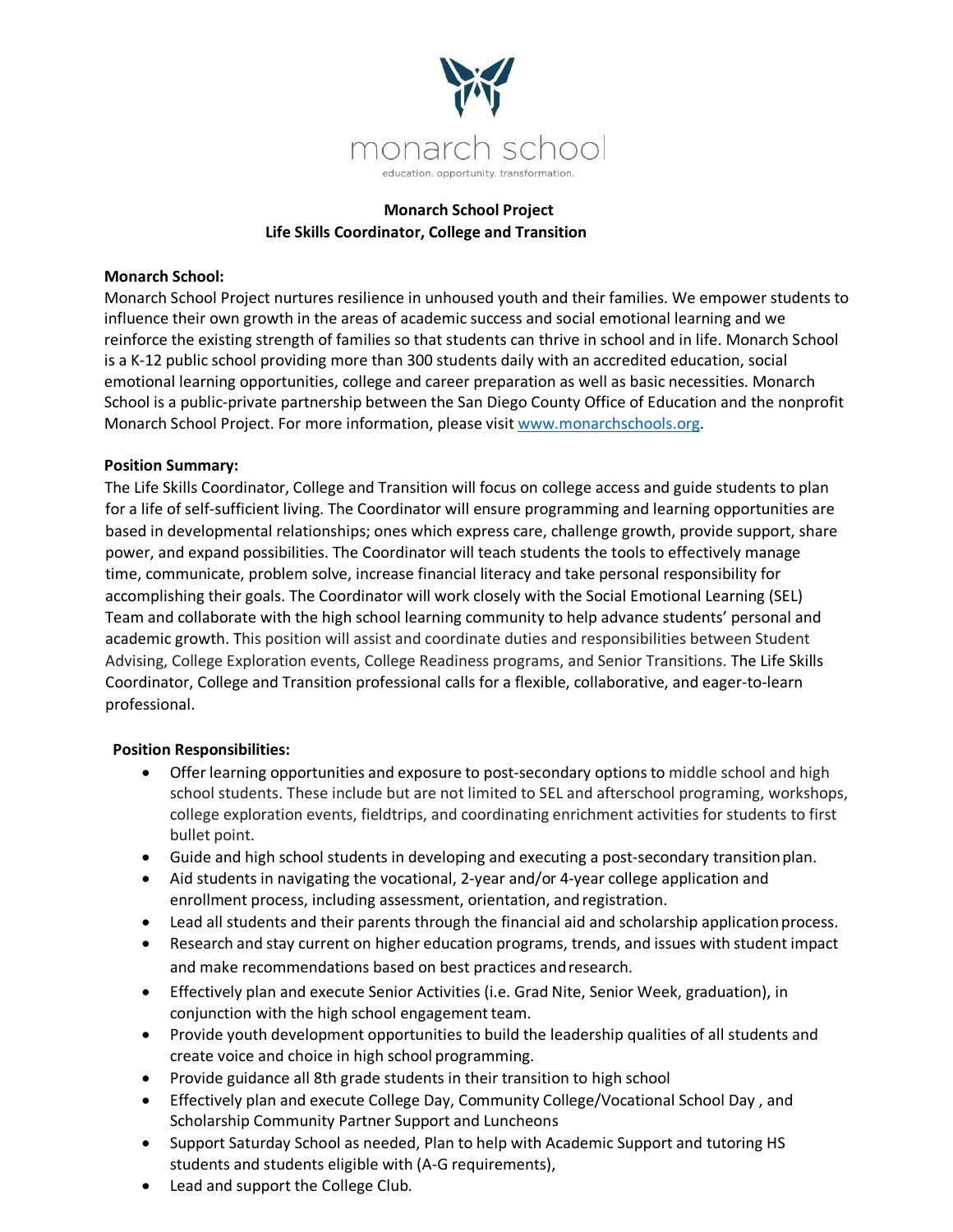

# **Monarch School Project Life Skills Coordinator, College and Transition**

## **Monarch School:**

Monarch School Project nurtures resilience in unhoused youth and their families. We empower students to influence their own growth in the areas of academic success and social emotional learning and we reinforce the existing strength of families so that students can thrive in school and in life. Monarch School is a K-12 public school providing more than 300 students daily with an accredited education, social emotional learning opportunities, college and career preparation as well as basic necessities. Monarch School is a public-private partnership between the San Diego County Office of Education and the nonprofit Monarch School Project. For more information, please visit www.monarchschools.org.

## **Position Summary:**

The Life Skills Coordinator, College and Transition will focus on college access and guide students to plan for a life of self-sufficient living. The Coordinator will ensure programming and learning opportunities are based in developmental relationships; ones which express care, challenge growth, provide support, share power, and expand possibilities. The Coordinator will teach students the tools to effectively manage time, communicate, problem solve, increase financial literacy and take personal responsibility for accomplishing their goals. The Coordinator will work closely with the Social Emotional Learning (SEL) Team and collaborate with the high school learning community to help advance students' personal and academic growth. This position will assist and coordinate duties and responsibilities between Student Advising, College Exploration events, College Readiness programs, and Senior Transitions. The Life Skills Coordinator, College and Transition professional calls for a flexible, collaborative, and eager-to-learn professional.

## **Position Responsibilities:**

- Offer learning opportunities and exposure to post-secondary options to middle school and high school students. These include but are not limited to SEL and afterschool programing, workshops, college exploration events, fieldtrips, and coordinating enrichment activities for students to first bullet point.
- Guide and high school students in developing and executing a post-secondary transitionplan.
- Aid students in navigating the vocational, 2-year and/or 4-year college application and enrollment process, including assessment, orientation, andregistration.
- Lead all students and their parents through the financial aid and scholarship application process.
- Research and stay current on higher education programs, trends, and issues with student impact and make recommendations based on best practices andresearch.
- Effectively plan and execute Senior Activities (i.e. Grad Nite, Senior Week, graduation), in conjunction with the high school engagement team.
- Provide youth development opportunities to build the leadership qualities of all students and create voice and choice in high school programming.
- Provide guidance all 8th grade students in their transition to high school
- Effectively plan and execute College Day, Community College/Vocational School Day , and Scholarship Community Partner Support and Luncheons
- Support Saturday School as needed, Plan to help with Academic Support and tutoring HS students and students eligible with (A-G requirements),
- Lead and support the College Club.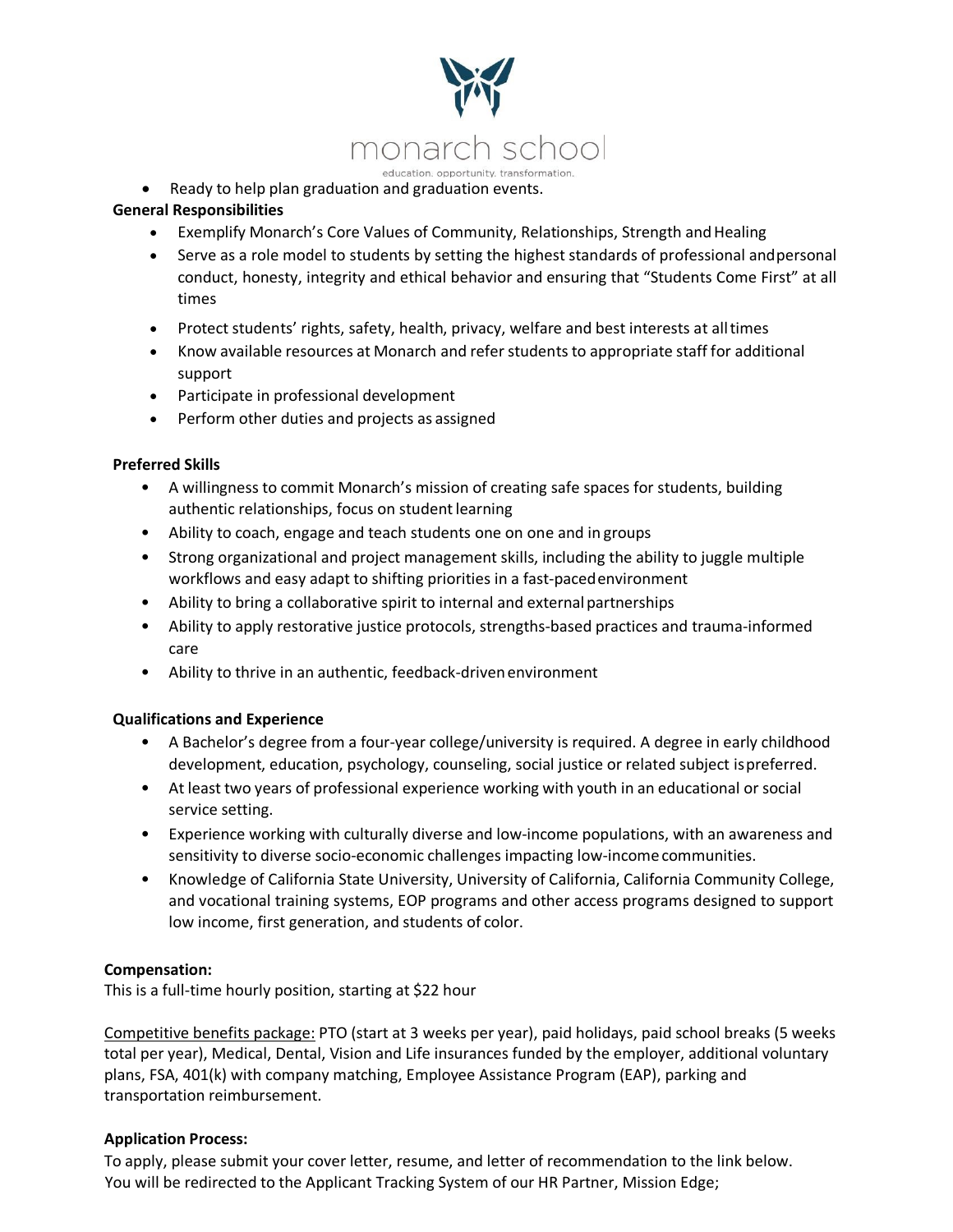

• Ready to help plan graduation and graduation events.

# **General Responsibilities**

- Exemplify Monarch's Core Values of Community, Relationships, Strength and Healing
- Serve as a role model to students by setting the highest standards of professional andpersonal conduct, honesty, integrity and ethical behavior and ensuring that "Students Come First" at all times
- Protect students' rights, safety, health, privacy, welfare and best interests at alltimes
- Know available resources at Monarch and refer students to appropriate staff for additional support
- Participate in professional development
- Perform other duties and projects as assigned

## **Preferred Skills**

- A willingness to commit Monarch's mission of creating safe spaces for students, building authentic relationships, focus on student learning
- Ability to coach, engage and teach students one on one and in groups
- Strong organizational and project management skills, including the ability to juggle multiple workflows and easy adapt to shifting priorities in a fast-pacedenvironment
- Ability to bring a collaborative spirit to internal and externalpartnerships
- Ability to apply restorative justice protocols, strengths-based practices and trauma-informed care
- Ability to thrive in an authentic, feedback-driven environment

## **Qualifications and Experience**

- A Bachelor's degree from a four-year college/university is required. A degree in early childhood development, education, psychology, counseling, social justice or related subject ispreferred.
- At least two years of professional experience working with youth in an educational or social service setting.
- Experience working with culturally diverse and low-income populations, with an awareness and sensitivity to diverse socio-economic challenges impacting low-income communities.
- Knowledge of California State University, University of California, California Community College, and vocational training systems, EOP programs and other access programs designed to support low income, first generation, and students of color.

## **Compensation:**

This is a full-time hourly position, starting at \$22 hour

Competitive benefits package: PTO (start at 3 weeks per year), paid holidays, paid school breaks (5 weeks total per year), Medical, Dental, Vision and Life insurances funded by the employer, additional voluntary plans, FSA, 401(k) with company matching, Employee Assistance Program (EAP), parking and transportation reimbursement.

## **Application Process:**

To apply, please submit your cover letter, resume, and letter of recommendation to the link below. You will be redirected to the Applicant Tracking System of our HR Partner, Mission Edge;